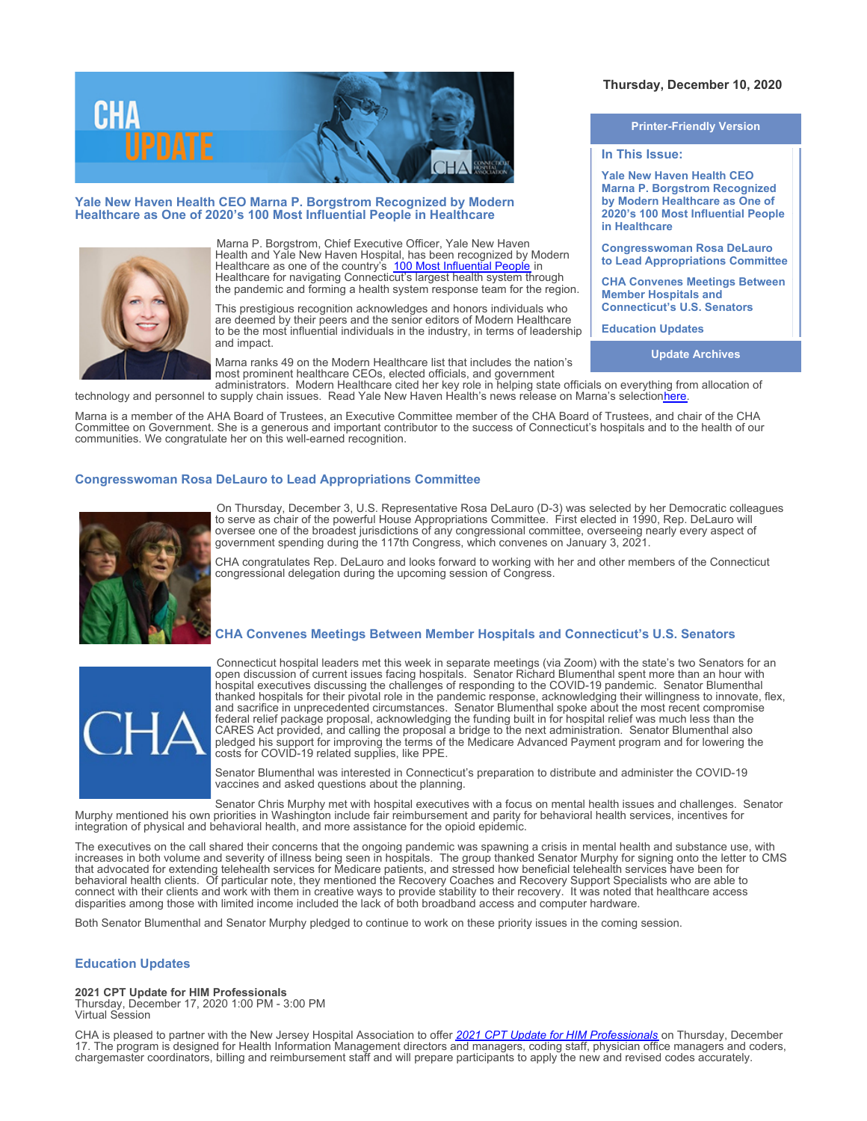

## **Yale New Haven Health CEO Marna P. Borgstrom Recognized by Modern Healthcare as One of 2020's 100 Most Influential People in Healthcare**



Marna P. Borgstrom, Chief Executive Officer, Yale New Haven Health and Yale New Haven Hospital, has been recognized by Modern Healthcare as one of the country's [100 Most Influential People](https://www.modernhealthcare.com/awards/2020-most-influential-healthcare-marna-borgstrom) in Healthcare for navigating Connecticut's largest health system through the pandemic and forming a health system response team for the region.

This prestigious recognition acknowledges and honors individuals who are deemed by their peers and the senior editors of Modern Healthcare to be the most influential individuals in the industry, in terms of leadership and impact.

Marna ranks 49 on the Modern Healthcare list that includes the nation's most prominent healthcare CEOs, elected officials, and government

administrators. Modern Healthcare cited her key role in helping state officials on everything from allocation of technology and personnel to supply chain issues. Read Yale New Haven Health's news release on Marna's selection<u>here</u>.

Marna is a member of the AHA Board of Trustees, an Executive Committee member of the CHA Board of Trustees, and chair of the CHA Committee on Government. She is a generous and important contributor to the success of Connecticut's hospitals and to the health of our communities. We congratulate her on this well-earned recognition.

# **Congresswoman Rosa DeLauro to Lead Appropriations Committee**



On Thursday, December 3, U.S. Representative Rosa DeLauro (D-3) was selected by her Democratic colleagues to serve as chair of the powerful House Appropriations Committee. First elected in 1990, Rep. DeLauro will oversee one of the broadest jurisdictions of any congressional committee, overseeing nearly every aspect of government spending during the 117th Congress, which convenes on January 3, 2021.

CHA congratulates Rep. DeLauro and looks forward to working with her and other members of the Connecticut congressional delegation during the upcoming session of Congress.

## **CHA Convenes Meetings Between Member Hospitals and Connecticut's U.S. Senators**



Connecticut hospital leaders met this week in separate meetings (via Zoom) with the state's two Senators for an open discussion of current issues facing hospitals. Senator Richard Blumenthal spent more than an hour with hospital executives discussing the challenges of responding to the COVID-19 pandemic. Senator Blumenthal thanked hospitals for their pivotal role in the pandemic response, acknowledging their willingness to innovate, flex, and sacrifice in unprecedented circumstances. Senator Blumenthal spoke about the most recent compromise federal relief package proposal, acknowledging the funding built in for hospital relief was much less than the CARES Act provided, and calling the proposal a bridge to the next administration. Senator Blumenthal also pledged his support for improving the terms of the Medicare Advanced Payment program and for lowering the costs for COVID-19 related supplies, like PPE.

Senator Blumenthal was interested in Connecticut's preparation to distribute and administer the COVID-19 vaccines and asked questions about the planning.

Senator Chris Murphy met with hospital executives with a focus on mental health issues and challenges. Senator Murphy mentioned his own priorities in Washington include fair reimbursement and parity for behavioral health services, incentives for integration of physical and behavioral health, and more assistance for the opioid epidemic.

The executives on the call shared their concerns that the ongoing pandemic was spawning a crisis in mental health and substance use, with increases in both volume and severity of illness being seen in hospitals. The group thanked Senator Murphy for signing onto the letter to CMS that advocated for extending telehealth services for Medicare patients, and stressed how beneficial telehealth services have been for behavioral health clients. Of particular note, they mentioned the Recovery Coaches and Recovery Support Specialists who are able to connect with their clients and work with them in creative ways to provide stability to their recovery. It was noted that healthcare access disparities among those with limited income included the lack of both broadband access and computer hardware.

Both Senator Blumenthal and Senator Murphy pledged to continue to work on these priority issues in the coming session.

## **Education Updates**

**2021 CPT Update for HIM Professionals**

Thursday, December 17, 2020 1:00 PM - 3:00 PM Virtual Session

CHA is pleased to partner with the New Jersey Hospital Association to offer *[2021 CPT Update for HIM Professionals](http://www.cthosp.org/eventcalendar/uploads/2021%20CPT%20Update_12.9.20%20with%20CHA%20logo.pdf)* on Thursday, December 17. The program is designed for Health Information Management directors and managers, coding staff, physician office managers and coders, chargemaster coordinators, billing and reimbursement staff and will prepare participants to apply the new and revised codes accurately.

# **Thursday, December 10, 2020**

**Printer-Friendly Version**

# **In This Issue:**

**Yale New Haven Health CEO Marna P. Borgstrom Recognized by Modern Healthcare as One of 2020's 100 Most Influential People in Healthcare**

**Congresswoman Rosa DeLauro to Lead Appropriations Committee**

**CHA Convenes Meetings Between Member Hospitals and Connecticut's U.S. Senators**

**Education Updates**

**Update Archives**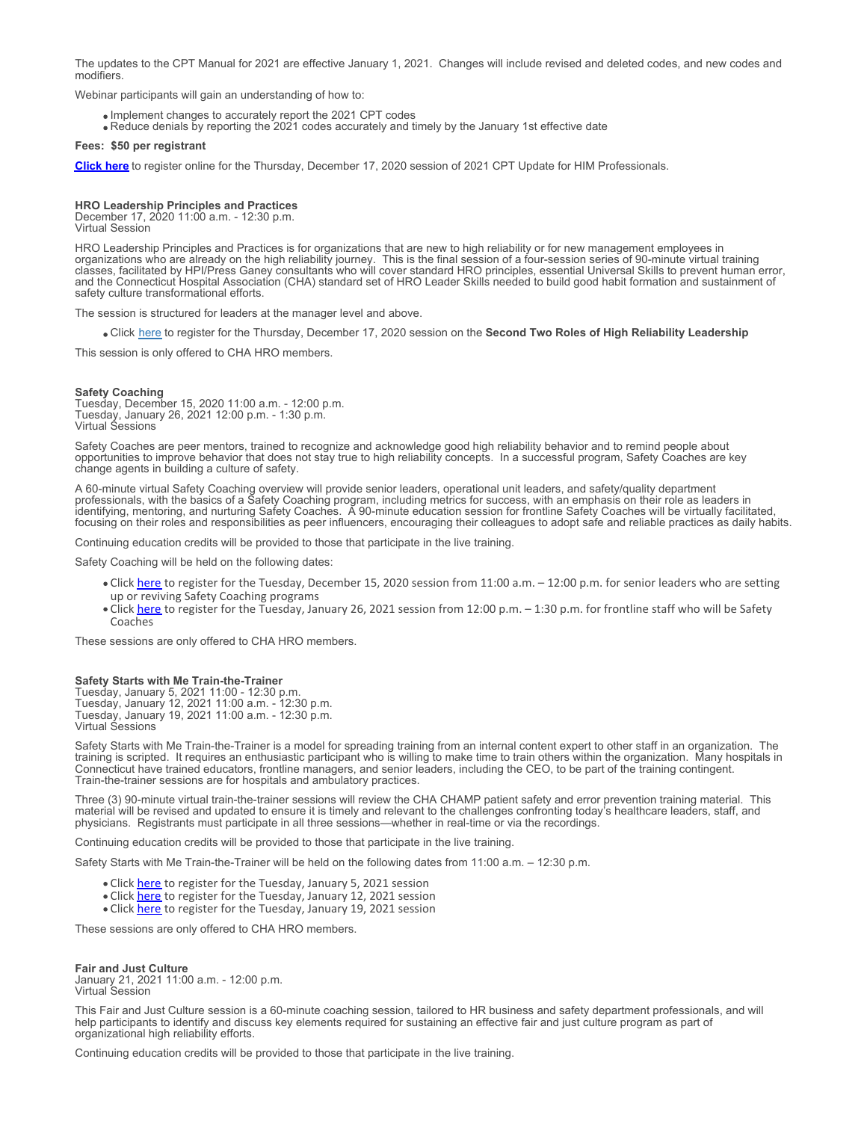The updates to the CPT Manual for 2021 are effective January 1, 2021. Changes will include revised and deleted codes, and new codes and modifiers.

Webinar participants will gain an understanding of how to:

- Implement changes to accurately report the 2021 CPT codes
- Reduce denials by reporting the 2021 codes accurately and timely by the January 1st effective date

### **Fees: \$50 per registrant**

**[Click here](https://ecommerce.njha.com/EVENT/3033)** to register online for the Thursday, December 17, 2020 session of 2021 CPT Update for HIM Professionals.

#### **HRO Leadership Principles and Practices**

December 17, 2020 11:00 a.m. - 12:30 p.m. Virtual Session

HRO Leadership Principles and Practices is for organizations that are new to high reliability or for new management employees in organizations who are already on the high reliability journey. This is the final session of a four-session series of 90-minute virtual training classes, facilitated by HPI/Press Ganey consultants who will cover standard HRO principles, essential Universal Skills to prevent human error, and the Connecticut Hospital Association (CHA) standard set of HRO Leader Skills needed to build good habit formation and sustainment of safety culture transformational efforts.

The session is structured for leaders at the manager level and above.

Click [here](https://www.cthosp.org/eventcalendar/index.cfm?action=register&id=899&date=44182) to register for the Thursday, December 17, 2020 session on the **Second Two Roles of High Reliability Leadership**

This session is only offered to CHA HRO members.

#### **Safety Coaching**

Tuesday, December 15, 2020 11:00 a.m. - 12:00 p.m. Tuesday, January 26, 2021 12:00 p.m. - 1:30 p.m. Virtual Sessions

Safety Coaches are peer mentors, trained to recognize and acknowledge good high reliability behavior and to remind people about opportunities to improve behavior that does not stay true to high reliability concepts. In a successful program, Safety Coaches are key change agents in building a culture of safety.

A 60-minute virtual Safety Coaching overview will provide senior leaders, operational unit leaders, and safety/quality department professionals, with the basics of a Safety Coaching program, including metrics for success, with an emphasis on their role as leaders in identifying, mentoring, and nurturing Safety Coaches. A 90-minute education session for frontline Safety Coaches will be virtually facilitated, focusing on their roles and responsibilities as peer influencers, encouraging their colleagues to adopt safe and reliable practices as daily habits.

Continuing education credits will be provided to those that participate in the live training.

Safety Coaching will be held on the following dates:

- Click [here](https://www.cthosp.org/eventcalendar/index.cfm?action=register&id=900&date=44166) to register for the Tuesday, December 15, 2020 session from 11:00 a.m. 12:00 p.m. for senior leaders who are setting up or reviving Safety Coaching programs
- Click [here](https://www.cthosp.org/eventcalendar/index.cfm?action=register&id=901&date=44222) to register for the Tuesday, January 26, 2021 session from 12:00 p.m. 1:30 p.m. for frontline staff who will be Safety Coaches

These sessions are only offered to CHA HRO members.

#### **Safety Starts with Me Train-the-Trainer**

Tuesday, January 5, 2021 11:00 - 12:30 p.m. Tuesday, January 12, 2021 11:00 a.m. - 12:30 p.m. Tuesday, January 19, 2021 11:00 a.m. - 12:30 p.m. Virtual Sessions

Safety Starts with Me Train-the-Trainer is a model for spreading training from an internal content expert to other staff in an organization. The training is scripted. It requires an enthusiastic participant who is willing to make time to train others within the organization. Many hospitals in Connecticut have trained educators, frontline managers, and senior leaders, including the CEO, to be part of the training contingent. Train-the-trainer sessions are for hospitals and ambulatory practices.

Three (3) 90-minute virtual train-the-trainer sessions will review the CHA CHAMP patient safety and error prevention training material. This material will be revised and updated to ensure it is timely and relevant to the challenges confronting today's healthcare leaders, staff, and physicians. Registrants must participate in all three sessions—whether in real-time or via the recordings.

Continuing education credits will be provided to those that participate in the live training.

Safety Starts with Me Train-the-Trainer will be held on the following dates from 11:00 a.m. – 12:30 p.m.

- Click [here](https://www.cthosp.org/eventcalendar/index.cfm?action=register&id=904&date=44201) to register for the Tuesday, January 5, 2021 session
- Click [here](https://www.cthosp.org/eventcalendar/index.cfm?action=register&id=905&date=44208) to register for the Tuesday, January 12, 2021 session
- Click [here](https://www.cthosp.org/eventcalendar/index.cfm?action=register&id=906&date=44215) to register for the Tuesday, January 19, 2021 session

These sessions are only offered to CHA HRO members.

**Fair and Just Culture**

January 21, 2021 11:00 a.m. - 12:00 p.m. Virtual Session

This Fair and Just Culture session is a 60-minute coaching session, tailored to HR business and safety department professionals, and will help participants to identify and discuss key elements required for sustaining an effective fair and just culture program as part of organizational high reliability efforts.

Continuing education credits will be provided to those that participate in the live training.